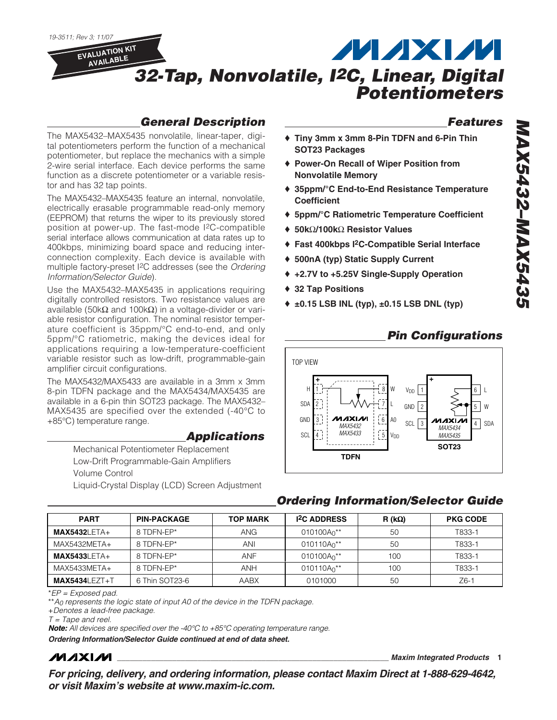

## *General Description*

The MAX5432–MAX5435 nonvolatile, linear-taper, digital potentiometers perform the function of a mechanical potentiometer, but replace the mechanics with a simple 2-wire serial interface. Each device performs the same function as a discrete potentiometer or a variable resistor and has 32 tap points.

The MAX5432–MAX5435 feature an internal, nonvolatile, electrically erasable programmable read-only memory (EEPROM) that returns the wiper to its previously stored position at power-up. The fast-mode I2C-compatible serial interface allows communication at data rates up to 400kbps, minimizing board space and reducing interconnection complexity. Each device is available with multiple factory-preset I2C addresses (see the *Ordering Information/Selector Guide*).

Use the MAX5432–MAX5435 in applications requiring digitally controlled resistors. Two resistance values are available (50kΩ and 100kΩ) in a voltage-divider or variable resistor configuration. The nominal resistor temperature coefficient is 35ppm/°C end-to-end, and only 5ppm/°C ratiometric, making the devices ideal for applications requiring a low-temperature-coefficient variable resistor such as low-drift, programmable-gain amplifier circuit configurations.

The MAX5432/MAX5433 are available in a 3mm x 3mm 8-pin TDFN package and the MAX5434/MAX5435 are available in a 6-pin thin SOT23 package. The MAX5432– MAX5435 are specified over the extended (-40°C to +85°C) temperature range.

#### *Applications*

Mechanical Potentiometer Replacement Low-Drift Programmable-Gain Amplifiers Volume Control Liquid-Crystal Display (LCD) Screen Adjustment

### *Features*

- ♦ **Tiny 3mm x 3mm 8-Pin TDFN and 6-Pin Thin SOT23 Packages**
- ♦ **Power-On Recall of Wiper Position from Nonvolatile Memory**
- ♦ **35ppm/°C End-to-End Resistance Temperature Coefficient**
- ♦ **5ppm/°C Ratiometric Temperature Coefficient**
- ♦ **50k**Ω**/100k**Ω **Resistor Values**
- ♦ **Fast 400kbps I2C-Compatible Serial Interface**
- ♦ **500nA (typ) Static Supply Current**
- ♦ **+2.7V to +5.25V Single-Supply Operation**
- ♦ **32 Tap Positions**
- ♦ **±0.15 LSB INL (typ), ±0.15 LSB DNL (typ)**



## *Ordering Information/Selector Guide*

| <b>PART</b>       | <b>PIN-PACKAGE</b> | <b>TOP MARK</b> | <b>I<sup>2</sup>C ADDRESS</b> | R (k $\Omega$ ) | <b>PKG CODE</b> |
|-------------------|--------------------|-----------------|-------------------------------|-----------------|-----------------|
| $MAX5432LETA+$    | 8 TDFN-FP*         | ANG             | 010100A <sup>**</sup>         | 50              | T833-1          |
| $MAX5432META+$    | 8 TDFN-EP*         | ANI             | $010110A_0$ **                | 50              | T833-1          |
| $MAX5433LETA+$    | 8 TDFN-EP*         | <b>ANF</b>      | $010100A_0$ **                | 100             | T833-1          |
| MAX5433META+      | 8 TDFN-FP*         | <b>ANH</b>      | $010110A_0$ **                | 100             | T833-1          |
| $MAX5434LEZT + T$ | 6 Thin SOT23-6     | AABX            | 0101000                       | 50              | Z6-1            |

\**EP = Exposed pad.*

\*\**A0 represents the logic state of input A0 of the device in the TDFN package.*

+*Denotes a lead-free package.*

*T = Tape and reel.*

*Note: All devices are specified over the -40°C to +85°C operating temperature range.*

*Ordering Information/Selector Guide continued at end of data sheet.*

# **MAXIM**

**\_\_\_\_\_\_\_\_\_\_\_\_\_\_\_\_\_\_\_\_\_\_\_\_\_\_\_\_\_\_\_\_\_\_\_\_\_\_\_\_\_\_\_\_\_\_\_\_\_\_\_\_\_\_\_\_\_\_\_\_\_\_\_\_** *Maxim Integrated Products* **1**

*For pricing, delivery, and ordering information, please contact Maxim Direct at 1-888-629-4642, or visit Maxim's website at www.maxim-ic.com.*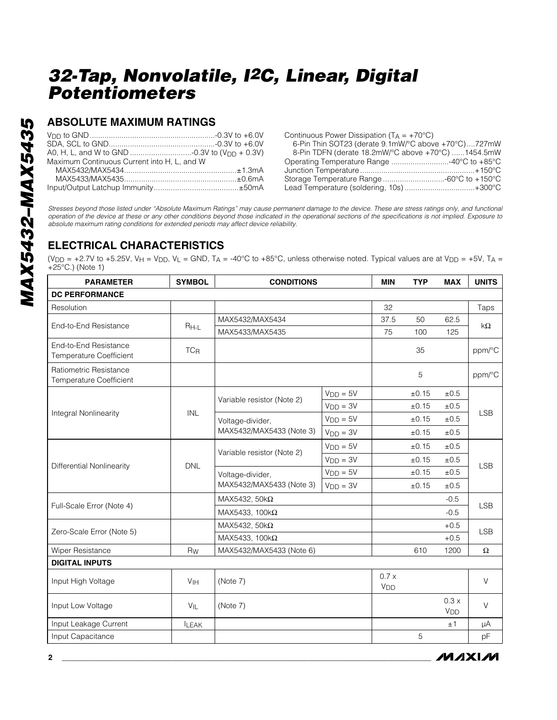## **ABSOLUTE MAXIMUM RATINGS**

| Maximum Continuous Current into H. L. and W |
|---------------------------------------------|
|                                             |
|                                             |
|                                             |
|                                             |

Continuous Power Dissipation  $(T_A = +70^{\circ}C)$ 

| 6-Pin Thin SOT23 (derate 9.1mW/°C above +70°C)727mW |  |
|-----------------------------------------------------|--|
| 8-Pin TDFN (derate 18.2mW/°C above +70°C) 1454.5mW  |  |
| Operating Temperature Range 40°C to +85°C           |  |
|                                                     |  |
| Storage Temperature Range -60°C to +150°C           |  |
| Lead Temperature (soldering, 10s)+300°C             |  |
|                                                     |  |

*Stresses beyond those listed under "Absolute Maximum Ratings" may cause permanent damage to the device. These are stress ratings only, and functional operation of the device at these or any other conditions beyond those indicated in the operational sections of the specifications is not implied. Exposure to absolute maximum rating conditions for extended periods may affect device reliability.*

# **ELECTRICAL CHARACTERISTICS**

(V<sub>DD</sub> = +2.7V to +5.25V, V<sub>H</sub> = V<sub>DD</sub>, V<sub>L</sub> = GND, T<sub>A</sub> = -40°C to +85°C, unless otherwise noted. Typical values are at V<sub>DD</sub> = +5V, T<sub>A</sub> = +25°C.) (Note 1)

| <b>PARAMETER</b>                                        | <b>SYMBOL</b>         | <b>CONDITIONS</b>          |            | <b>MIN</b>              | <b>TYP</b> | <b>MAX</b>                      | <b>UNITS</b> |
|---------------------------------------------------------|-----------------------|----------------------------|------------|-------------------------|------------|---------------------------------|--------------|
| <b>DC PERFORMANCE</b>                                   |                       |                            |            |                         |            |                                 |              |
| Resolution                                              |                       |                            |            | 32                      |            |                                 | Taps         |
| End-to-End Resistance                                   | $R_{H-L}$             | MAX5432/MAX5434            |            | 37.5                    | 50         | 62.5                            | $k\Omega$    |
|                                                         |                       | MAX5433/MAX5435            |            | 75                      | 100        | 125                             |              |
| End-to-End Resistance<br><b>Temperature Coefficient</b> | <b>TC<sub>R</sub></b> |                            |            |                         | 35         |                                 | ppm/°C       |
| Ratiometric Resistance<br>Temperature Coefficient       |                       |                            |            |                         | 5          |                                 | ppm/°C       |
|                                                         |                       |                            | $VDD = 5V$ |                         | ±0.15      | $\pm 0.5$                       |              |
|                                                         |                       | Variable resistor (Note 2) | $VDD = 3V$ |                         | ±0.15      | ±0.5                            |              |
| Integral Nonlinearity                                   | <b>INL</b>            | Voltage-divider,           | $VDD = 5V$ |                         | $\pm 0.15$ | ±0.5                            | <b>LSB</b>   |
|                                                         |                       | MAX5432/MAX5433 (Note 3)   | $VDD = 3V$ |                         | ±0.15      | ±0.5                            |              |
|                                                         |                       |                            | $VDD = 5V$ |                         | $\pm 0.15$ | ±0.5                            |              |
|                                                         | <b>DNL</b>            | Variable resistor (Note 2) | $VDD = 3V$ |                         | ±0.15      | ±0.5                            | <b>LSB</b>   |
| Differential Nonlinearity                               |                       | Voltage-divider,           | $VDD = 5V$ |                         | $\pm 0.15$ | $\pm 0.5$                       |              |
|                                                         |                       | MAX5432/MAX5433 (Note 3)   | $VDD = 3V$ |                         | ±0.15      | ±0.5                            |              |
|                                                         |                       | MAX5432, 50 $k\Omega$      |            |                         |            | $-0.5$                          |              |
| Full-Scale Error (Note 4)                               |                       | MAX5433, 100 $k\Omega$     |            |                         |            | $-0.5$                          | <b>LSB</b>   |
| Zero-Scale Error (Note 5)                               |                       | MAX5432, 50 $k\Omega$      |            |                         |            | $+0.5$                          | <b>LSB</b>   |
|                                                         |                       | MAX5433, $100k\Omega$      |            |                         |            | $+0.5$                          |              |
| Wiper Resistance                                        | <b>Rw</b>             | MAX5432/MAX5433 (Note 6)   |            |                         | 610        | 1200                            | $\Omega$     |
| <b>DIGITAL INPUTS</b>                                   |                       |                            |            |                         |            |                                 |              |
| Input High Voltage                                      | V <sub>IH</sub>       | (Note 7)                   |            | 0.7x<br>V <sub>DD</sub> |            |                                 | V            |
| Input Low Voltage                                       | $V_{IL}$              | (Note 7)                   |            |                         |            | $0.3 \times$<br>V <sub>DD</sub> | $\vee$       |
| Input Leakage Current                                   | <b>ILEAK</b>          |                            |            |                         |            | ±1                              | μA           |
| Input Capacitance                                       |                       |                            |            |                         | 5          |                                 | pF           |

**MAXIM**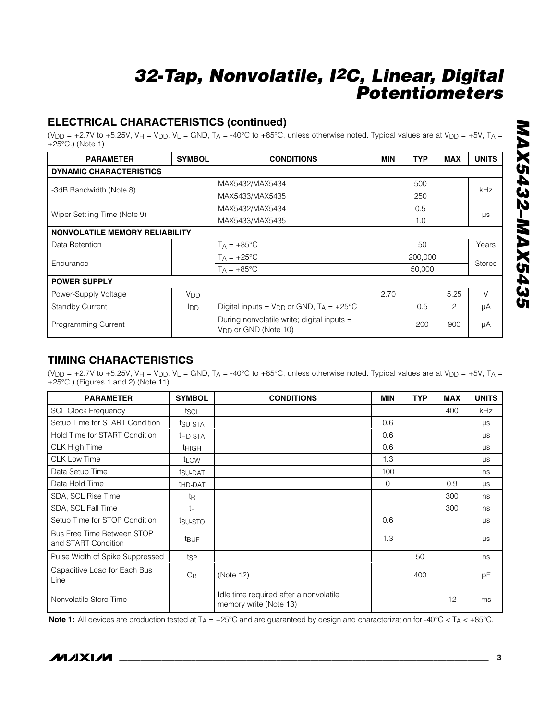## **ELECTRICAL CHARACTERISTICS (continued)**

(V<sub>DD</sub> = +2.7V to +5.25V, V<sub>H</sub> = V<sub>DD</sub>, V<sub>L</sub> = GND, T<sub>A</sub> = -40°C to +85°C, unless otherwise noted. Typical values are at V<sub>DD</sub> = +5V, T<sub>A</sub> = +25°C.) (Note 1)

| <b>PARAMETER</b>                      | <b>SYMBOL</b>   | <b>CONDITIONS</b>                                                              | <b>MIN</b> | <b>TYP</b> | <b>MAX</b> | <b>UNITS</b>  |
|---------------------------------------|-----------------|--------------------------------------------------------------------------------|------------|------------|------------|---------------|
| <b>DYNAMIC CHARACTERISTICS</b>        |                 |                                                                                |            |            |            |               |
|                                       |                 | MAX5432/MAX5434                                                                |            | 500        |            | kHz           |
| -3dB Bandwidth (Note 8)               |                 | MAX5433/MAX5435                                                                |            | 250        |            |               |
|                                       |                 | MAX5432/MAX5434                                                                |            | 0.5        |            |               |
| Wiper Settling Time (Note 9)          |                 | MAX5433/MAX5435                                                                |            | 1.0        |            | μs            |
| <b>NONVOLATILE MEMORY RELIABILITY</b> |                 |                                                                                |            |            |            |               |
| Data Retention                        |                 | $T_A = +85^{\circ}C$                                                           |            | 50         |            | Years         |
| Endurance                             |                 | $T_A = +25^{\circ}C$                                                           |            | 200,000    |            |               |
|                                       |                 | $T_A = +85^{\circ}C$                                                           |            | 50,000     |            | <b>Stores</b> |
| <b>POWER SUPPLY</b>                   |                 |                                                                                |            |            |            |               |
| Power-Supply Voltage                  | V <sub>DD</sub> |                                                                                | 2.70       |            | 5.25       | V             |
| <b>Standby Current</b>                | <b>I</b> DD     | Digital inputs = $V_{DD}$ or GND, $T_A$ = +25°C                                |            | 0.5        | 2          | μA            |
| <b>Programming Current</b>            |                 | During nonvolatile write; digital inputs =<br>V <sub>DD</sub> or GND (Note 10) |            | 200        | 900        | μA            |

## **TIMING CHARACTERISTICS**

(V<sub>DD</sub> = +2.7V to +5.25V, V<sub>H</sub> = V<sub>DD</sub>, V<sub>L</sub> = GND, T<sub>A</sub> = -40°C to +85°C, unless otherwise noted. Typical values are at V<sub>DD</sub> = +5V, T<sub>A</sub> = +25°C.) (Figures 1 and 2) (Note 11)

| <b>PARAMETER</b>                                  | <b>SYMBOL</b>       | <b>CONDITIONS</b>                                                | <b>MIN</b>  | <b>TYP</b> | <b>MAX</b> | <b>UNITS</b> |
|---------------------------------------------------|---------------------|------------------------------------------------------------------|-------------|------------|------------|--------------|
| <b>SCL Clock Frequency</b>                        | fscl                |                                                                  |             |            | 400        | <b>kHz</b>   |
| Setup Time for START Condition                    | tsu-sta             |                                                                  | 0.6         |            |            | μs           |
| Hold Time for START Condition                     | t <sub>HD-STA</sub> |                                                                  | 0.6         |            |            | μs           |
| <b>CLK High Time</b>                              | <b>THIGH</b>        |                                                                  | 0.6         |            |            | $\mu s$      |
| <b>CLK Low Time</b>                               | t <sub>LOW</sub>    |                                                                  | 1.3         |            |            | μs           |
| Data Setup Time                                   | tsu-DAT             |                                                                  | 100         |            |            | ns           |
| Data Hold Time                                    | t <sub>HD-DAT</sub> |                                                                  | $\mathbf 0$ |            | 0.9        | μs           |
| SDA, SCL Rise Time                                | tŖ                  |                                                                  |             |            | 300        | ns           |
| SDA, SCL Fall Time                                | tF                  |                                                                  |             |            | 300        | ns           |
| Setup Time for STOP Condition                     | tsu-sto             |                                                                  | 0.6         |            |            | $\mu s$      |
| Bus Free Time Between STOP<br>and START Condition | t <sub>BUF</sub>    |                                                                  | 1.3         |            |            | $\mu s$      |
| Pulse Width of Spike Suppressed                   | tsp                 |                                                                  |             | 50         |            | ns           |
| Capacitive Load for Each Bus<br>Line              | $C_{\mathsf{B}}$    | (Note 12)                                                        |             | 400        |            | рF           |
| Nonvolatile Store Time                            |                     | Idle time required after a nonvolatile<br>memory write (Note 13) |             |            | 12         | ms           |

Note 1: All devices are production tested at T<sub>A</sub> = +25°C and are guaranteed by design and characterization for -40°C < T<sub>A</sub> < +85°C.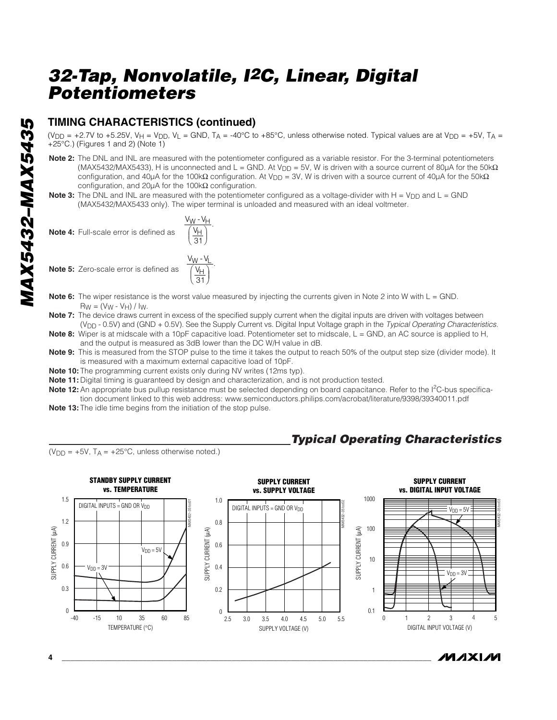## **TIMING CHARACTERISTICS (continued)**

(V<sub>DD</sub> = +2.7V to +5.25V, V<sub>H</sub> = V<sub>DD</sub>, V<sub>L</sub> = GND, T<sub>A</sub> = -40°C to +85°C, unless otherwise noted. Typical values are at V<sub>DD</sub> = +5V, T<sub>A</sub> = +25°C.) (Figures 1 and 2) (Note 1)

- **Note 2:** The DNL and INL are measured with the potentiometer configured as a variable resistor. For the 3-terminal potentiometers (MAX5432/MAX5433), H is unconnected and L = GND. At V<sub>DD</sub> = 5V, W is driven with a source current of 80µA for the 50k $\Omega$ configuration, and 40μA for the 100kΩ configuration. At V<sub>DD</sub> = 3V, W is driven with a source current of 40μA for the 50kΩ configuration, and 20µA for the 100kΩ configuration.
- **Note 3:** The DNL and INL are measured with the potentiometer configured as a voltage-divider with H = V<sub>DD</sub> and L = GND (MAX5432/MAX5433 only). The wiper terminal is unloaded and measured with an ideal voltmeter.





- **Note 6:** The wiper resistance is the worst value measured by injecting the currents given in Note 2 into W with L = GND.  $R_W = (V_W - V_H) / I_W$ .
- Note 7: The device draws current in excess of the specified supply current when the digital inputs are driven with voltages between (VDD - 0.5V) and (GND + 0.5V). See the Supply Current vs. Digital Input Voltage graph in the *Typical Operating Characteristics*.
- **Note 8:** Wiper is at midscale with a 10pF capacitive load. Potentiometer set to midscale, L = GND, an AC source is applied to H, and the output is measured as 3dB lower than the DC W/H value in dB.
- **Note 9:** This is measured from the STOP pulse to the time it takes the output to reach 50% of the output step size (divider mode). It is measured with a maximum external capacitive load of 10pF.
- **Note 10:** The programming current exists only during NV writes (12ms typ).

V  $\overline{H}$ 31 ⎠ ⎟ .

> ⎠ ⎟ .

- **Note 11:** Digital timing is guaranteed by design and characterization, and is not production tested.
- Note 12: An appropriate bus pullup resistance must be selected depending on board capacitance. Refer to the I<sup>2</sup>C-bus specification document linked to this web address: www.semiconductors.philips.com/acrobat/literature/9398/39340011.pdf
- **Note 13:** The idle time begins from the initiation of the stop pulse.

## *Typical Operating Characteristics*

 $(V_{\text{DD}} = +5V$ ,  $T_A = +25^{\circ}\text{C}$ , unless otherwise noted.)





/VI /I X I /VI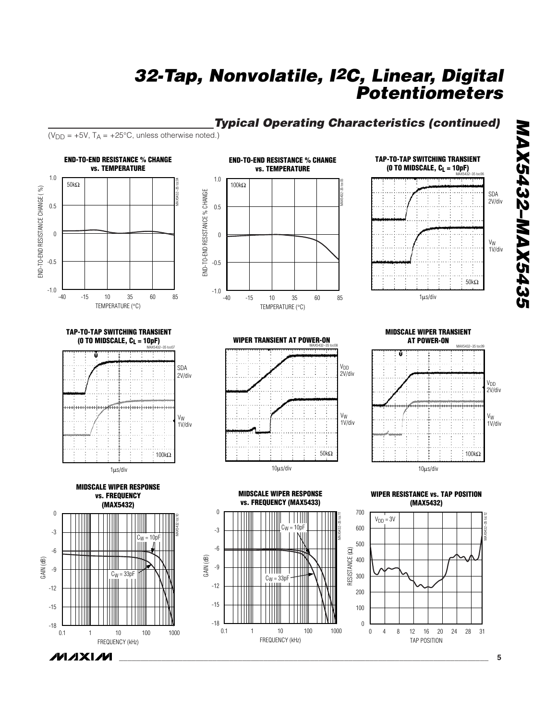# *Typical Operating Characteristics (continued)*

 $(V_{DD} = +5V$ ,  $T_A = +25^{\circ}C$ , unless otherwise noted.)

**MAXM** 

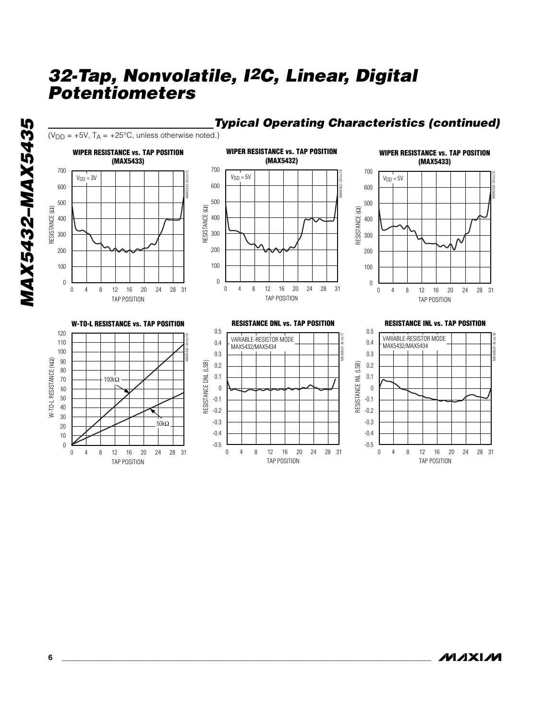

TAP POSITION

## *Typical Operating Characteristics (continued)*

**MAXM** 

TAP POSITION

MAX5432-35 toc15

MAX5432–35 toc18

TAP POSITION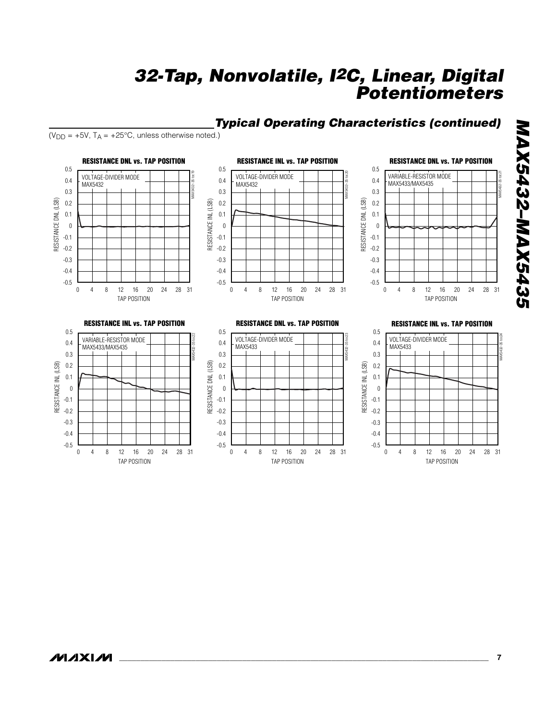## *Typical Operating Characteristics (continued)*

 $(V_{DD} = +5V$ ,  $T_A = +25^{\circ}C$ , unless otherwise noted.)



# **MAX5432-MAX5435** *MAX5432–MAX5435*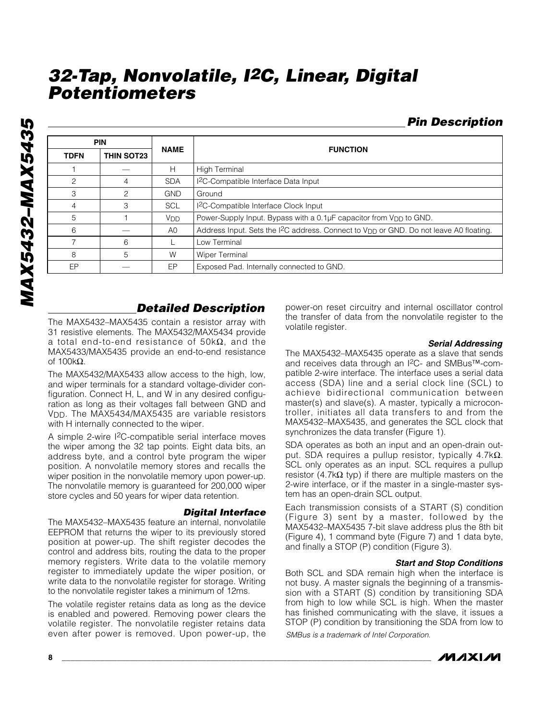|             | <b>PIN</b>        |                       |                                                                                                                |
|-------------|-------------------|-----------------------|----------------------------------------------------------------------------------------------------------------|
| <b>TDFN</b> | <b>THIN SOT23</b> | <b>NAME</b>           | <b>FUNCTION</b>                                                                                                |
|             |                   | H                     | High Terminal                                                                                                  |
| 2           | 4                 | <b>SDA</b>            | <sup>2</sup> C-Compatible Interface Data Input                                                                 |
| 3           | $\mathcal{P}$     | <b>GND</b>            | Ground                                                                                                         |
| 4           | 3                 | SCL                   | <sup>2</sup> C-Compatible Interface Clock Input                                                                |
| 5           |                   | <b>V<sub>DD</sub></b> | Power-Supply Input. Bypass with a 0.1µF capacitor from V <sub>DD</sub> to GND.                                 |
| 6           |                   | A0                    | Address Input. Sets the I <sup>2</sup> C address. Connect to V <sub>DD</sub> or GND. Do not leave A0 floating. |
| 7           | 6                 |                       | Low Terminal                                                                                                   |
| 8           | 5                 | W                     | <b>Wiper Terminal</b>                                                                                          |
| EP          |                   | EP                    | Exposed Pad. Internally connected to GND.                                                                      |

## *Detailed Description*

The MAX5432–MAX5435 contain a resistor array with 31 resistive elements. The MAX5432/MAX5434 provide a total end-to-end resistance of 50kΩ, and the MAX5433/MAX5435 provide an end-to-end resistance of 100kΩ.

The MAX5432/MAX5433 allow access to the high, low, and wiper terminals for a standard voltage-divider configuration. Connect H, L, and W in any desired configuration as long as their voltages fall between GND and VDD. The MAX5434/MAX5435 are variable resistors with H internally connected to the wiper.

A simple 2-wire I2C-compatible serial interface moves the wiper among the 32 tap points. Eight data bits, an address byte, and a control byte program the wiper position. A nonvolatile memory stores and recalls the wiper position in the nonvolatile memory upon power-up. The nonvolatile memory is guaranteed for 200,000 wiper store cycles and 50 years for wiper data retention.

#### *Digital Interface*

The MAX5432–MAX5435 feature an internal, nonvolatile EEPROM that returns the wiper to its previously stored position at power-up. The shift register decodes the control and address bits, routing the data to the proper memory registers. Write data to the volatile memory register to immediately update the wiper position, or write data to the nonvolatile register for storage. Writing to the nonvolatile register takes a minimum of 12ms.

The volatile register retains data as long as the device is enabled and powered. Removing power clears the volatile register. The nonvolatile register retains data even after power is removed. Upon power-up, the

power-on reset circuitry and internal oscillator control the transfer of data from the nonvolatile register to the volatile register.

#### *Serial Addressing*

The MAX5432–MAX5435 operate as a slave that sends and receives data through an I2C- and SMBus™-compatible 2-wire interface. The interface uses a serial data access (SDA) line and a serial clock line (SCL) to achieve bidirectional communication between master(s) and slave(s). A master, typically a microcontroller, initiates all data transfers to and from the MAX5432–MAX5435, and generates the SCL clock that synchronizes the data transfer (Figure 1).

SDA operates as both an input and an open-drain output. SDA requires a pullup resistor, typically 4.7k $\Omega$ . SCL only operates as an input. SCL requires a pullup resistor (4.7kΩ typ) if there are multiple masters on the 2-wire interface, or if the master in a single-master system has an open-drain SCL output.

Each transmission consists of a START (S) condition (Figure 3) sent by a master, followed by the MAX5432–MAX5435 7-bit slave address plus the 8th bit (Figure 4), 1 command byte (Figure 7) and 1 data byte, and finally a STOP (P) condition (Figure 3).

#### *Start and Stop Conditions*

Both SCL and SDA remain high when the interface is not busy. A master signals the beginning of a transmission with a START (S) condition by transitioning SDA from high to low while SCL is high. When the master has finished communicating with the slave, it issues a STOP (P) condition by transitioning the SDA from low to

*SMBus is a trademark of Intel Corporation.*

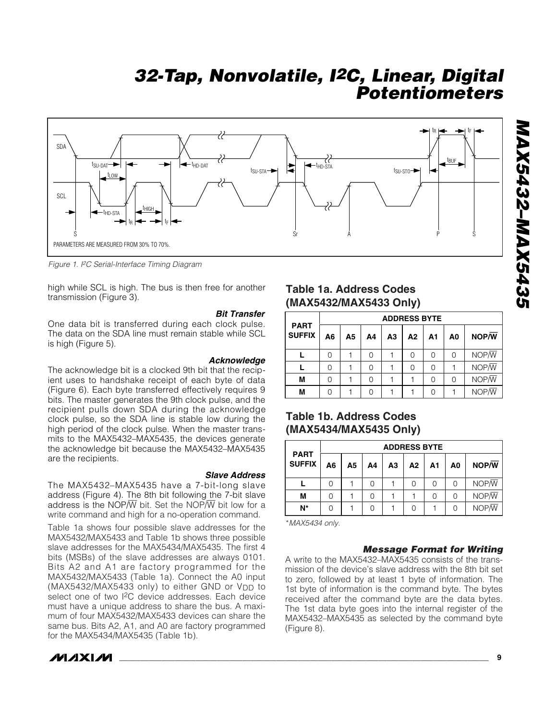

*Figure 1. I2C Serial-Interface Timing Diagram*

high while SCL is high. The bus is then free for another transmission (Figure 3).

#### *Bit Transfer*

One data bit is transferred during each clock pulse. The data on the SDA line must remain stable while SCL is high (Figure 5).

#### *Acknowledge*

The acknowledge bit is a clocked 9th bit that the recipient uses to handshake receipt of each byte of data (Figure 6). Each byte transferred effectively requires 9 bits. The master generates the 9th clock pulse, and the recipient pulls down SDA during the acknowledge clock pulse, so the SDA line is stable low during the high period of the clock pulse. When the master transmits to the MAX5432–MAX5435, the devices generate the acknowledge bit because the MAX5432–MAX5435 are the recipients.

#### *Slave Address*

The MAX5432–MAX5435 have a 7-bit-long slave address (Figure 4). The 8th bit following the 7-bit slave address is the NOP $\overline{W}$  bit. Set the NOP $\overline{W}$  bit low for a write command and high for a no-operation command.

Table 1a shows four possible slave addresses for the MAX5432/MAX5433 and Table 1b shows three possible slave addresses for the MAX5434/MAX5435. The first 4 bits (MSBs) of the slave addresses are always 0101. Bits A2 and A1 are factory programmed for the MAX5432/MAX5433 (Table 1a). Connect the A0 input (MAX5432/MAX5433 only) to either GND or V<sub>DD</sub> to select one of two I<sup>2</sup>C device addresses. Each device must have a unique address to share the bus. A maximum of four MAX5432/MAX5433 devices can share the same bus. Bits A2, A1, and A0 are factory programmed for the MAX5434/MAX5435 (Table 1b).

## **MAXM**

## **Table 1a. Address Codes (MAX5432/MAX5433 Only)**

|                              |    |    |    |    | <b>ADDRESS BYTE</b> |                |    |       |
|------------------------------|----|----|----|----|---------------------|----------------|----|-------|
| <b>PART</b><br><b>SUFFIX</b> | A6 | А5 | Α4 | A3 | A2                  | A <sub>1</sub> | A0 | NOP/W |
|                              | U  |    | 0  |    | Ω                   |                | 0  | NOP/W |
|                              |    |    | 0  |    | Ω                   |                |    | NOP/W |
| M                            |    |    | O  |    |                     |                | 0  | NOP/W |
| М                            |    |    | ∩  |    |                     |                |    | NOP/W |

## **Table 1b. Address Codes (MAX5434/MAX5435 Only)**

|                              |                |    |    | <b>ADDRESS BYTE</b> |    |    |    |                    |
|------------------------------|----------------|----|----|---------------------|----|----|----|--------------------|
| <b>PART</b><br><b>SUFFIX</b> | A <sub>6</sub> | А5 | Α4 | А3                  | A2 | A1 | A0 | NOP/W              |
|                              |                |    |    |                     | Ω  |    | 0  | $NOP/\overline{W}$ |
| М                            |                |    |    |                     |    |    | O  | $NOP/\overline{W}$ |
| N*                           |                |    |    |                     | Ω  |    | U  | $NOP/\overline{W}$ |

\**MAX5434 only.*

#### *Message Format for Writing*

A write to the MAX5432–MAX5435 consists of the transmission of the device's slave address with the 8th bit set to zero, followed by at least 1 byte of information. The 1st byte of information is the command byte. The bytes received after the command byte are the data bytes. The 1st data byte goes into the internal register of the MAX5432–MAX5435 as selected by the command byte (Figure 8).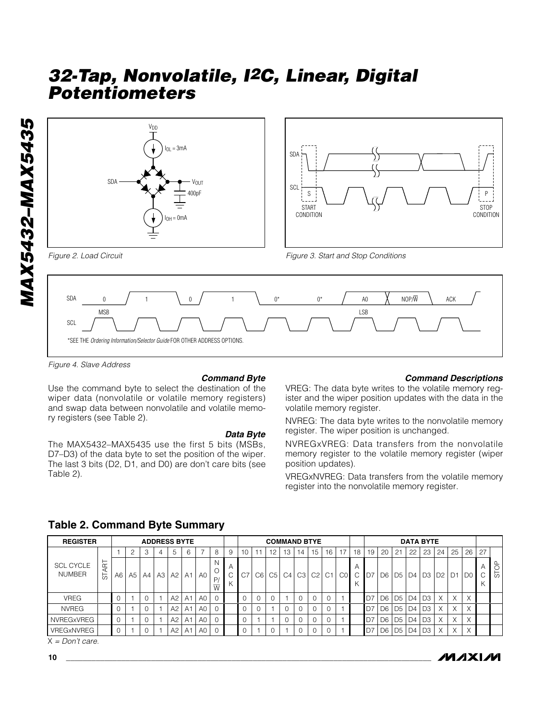



*Figure 4. Slave Address*

#### *Command Byte*

Use the command byte to select the destination of the wiper data (nonvolatile or volatile memory registers) and swap data between nonvolatile and volatile memory registers (see Table 2).

\*SEE THE *Ordering Information/Selector Guide* FOR OTHER ADDRESS OPTIONS.

#### *Data Byte*

The MAX5432–MAX5435 use the first 5 bits (MSBs, D7–D3) of the data byte to set the position of the wiper. The last 3 bits (D2, D1, and D0) are don't care bits (see Table 2).

#### *Command Descriptions*

VREG: The data byte writes to the volatile memory register and the wiper position updates with the data in the volatile memory register.

NVREG: The data byte writes to the nonvolatile memory register. The wiper position is unchanged.

NVREGxVREG: Data transfers from the nonvolatile memory register to the volatile memory register (wiper position updates).

VREGxNVREG: Data transfers from the volatile memory register into the nonvolatile memory register.

| <b>REGISTER</b>                   |        |    |    |          |    | <b>ADDRESS BYTE</b> |                |                |                            |   |                |                |                 | <b>COMMAND BTYE</b> |           |    |            |                |        |                |                |                | <b>DATA BYTE</b> |                |                   |          |                |                          |        |
|-----------------------------------|--------|----|----|----------|----|---------------------|----------------|----------------|----------------------------|---|----------------|----------------|-----------------|---------------------|-----------|----|------------|----------------|--------|----------------|----------------|----------------|------------------|----------------|-------------------|----------|----------------|--------------------------|--------|
|                                   |        |    |    | 3        | 4  | 5                   | 6              |                | 8                          | 9 | 10             | 11             | 12 <sup>2</sup> | 13                  | 14        | 15 | 16         | 17             | 18     | 19             | 20             | 21             | 22               | 23             | 24                | 25       | 26             | 27                       |        |
| <b>SCL CYCLE</b><br><b>NUMBER</b> | Œ<br>능 | A6 | A5 | A4       | A3 | $A2$ $A1$           |                | A <sub>0</sub> | ΙN<br>P,<br>$\overline{W}$ | Α | C <sub>7</sub> | C <sub>6</sub> | C <sub>5</sub>  |                     | $C4$ $C3$ | C2 | $\cdot$ C1 | C <sub>0</sub> | Α<br>C | D7             |                |                |                  |                | D6 D5 D4 D3 D2 D1 |          | D <sub>0</sub> | $\overline{ }$<br>$\sim$ | മ<br>5 |
| <b>VREG</b>                       |        |    |    | $\Omega$ |    | A2                  | A1             | A0             |                            |   | $\Omega$       |                |                 |                     | $\Omega$  |    | υ          |                |        | D7             | D6 D5 D4 D3    |                |                  |                |                   | X        | X              |                          |        |
| <b>NVREG</b>                      |        |    |    |          |    | A2                  | A1             | A0             |                            |   | $\Omega$       |                |                 | $\Omega$            |           |    |            |                |        | D <sub>7</sub> | D <sub>6</sub> | D <sub>5</sub> | D4               | D <sub>3</sub> |                   | $\times$ | X              |                          |        |
| <b>NVREGxVREG</b>                 |        |    |    |          |    | A2                  | A <sub>1</sub> | A0             |                            |   | $\mathbf 0$    |                |                 | $\Omega$            |           |    | $\cap$     |                |        | D <sub>7</sub> | D <sub>6</sub> | D <sub>5</sub> | D4               | D <sub>3</sub> | X                 | $\times$ | X              |                          |        |
| VREGxNVREG                        |        |    |    | $\Omega$ |    | A2                  | A1             | A0             |                            |   | $\mathbf 0$    |                |                 |                     | $\Omega$  |    |            |                |        | D <sub>7</sub> | D <sub>6</sub> | D <sub>5</sub> | $\overline{D4}$  | D3             |                   | X        | X              |                          |        |

#### **Table 2. Command Byte Summary**

X *= Don't care.*

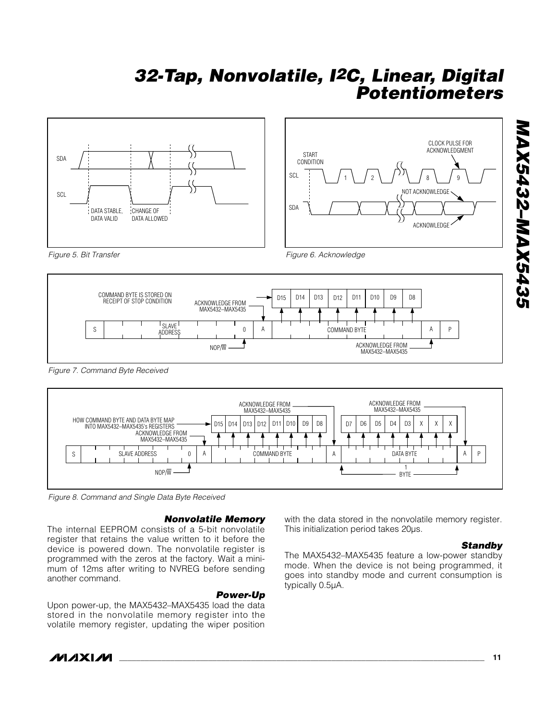



*Figure 5. Bit Transfer*

*Figure 6. Acknowledge*



*Figure 7. Command Byte Received*



*Figure 8. Command and Single Data Byte Received*

#### *Nonvolatile Memory*

The internal EEPROM consists of a 5-bit nonvolatile register that retains the value written to it before the device is powered down. The nonvolatile register is programmed with the zeros at the factory. Wait a minimum of 12ms after writing to NVREG before sending another command.

*Power-Up* Upon power-up, the MAX5432–MAX5435 load the data stored in the nonvolatile memory register into the volatile memory register, updating the wiper position

with the data stored in the nonvolatile memory register. This initialization period takes 20µs.

#### *Standby*

The MAX5432–MAX5435 feature a low-power standby mode. When the device is not being programmed, it goes into standby mode and current consumption is typically 0.5µA.

*MAX5432–MAX5435* **MAX5432-MAX5435** 

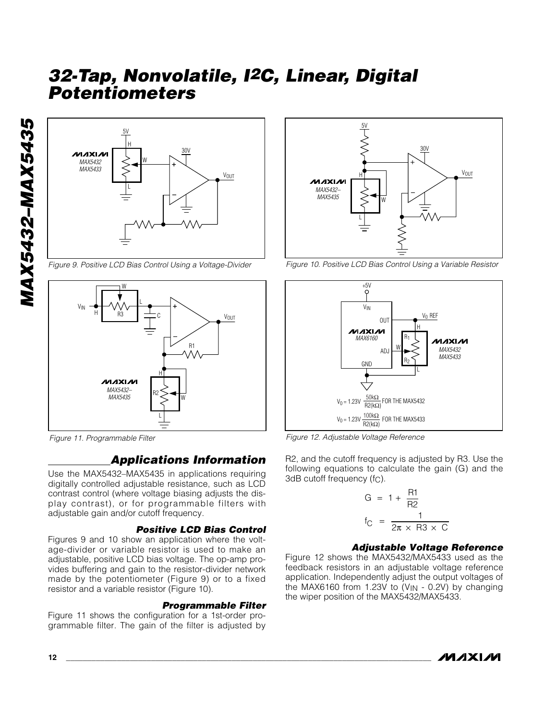

*Figure 9. Positive LCD Bias Control Using a Voltage-Divider*



*Figure 11. Programmable Filter*

# *Applications Information*

Use the MAX5432–MAX5435 in applications requiring digitally controlled adjustable resistance, such as LCD contrast control (where voltage biasing adjusts the display contrast), or for programmable filters with adjustable gain and/or cutoff frequency.

#### *Positive LCD Bias Control*

Figures 9 and 10 show an application where the voltage-divider or variable resistor is used to make an adjustable, positive LCD bias voltage. The op-amp provides buffering and gain to the resistor-divider network made by the potentiometer (Figure 9) or to a fixed resistor and a variable resistor (Figure 10).

#### *Programmable Filter*

Figure 11 shows the configuration for a 1st-order programmable filter. The gain of the filter is adjusted by



*Figure 10. Positive LCD Bias Control Using a Variable Resistor*



*Figure 12. Adjustable Voltage Reference*

R2, and the cutoff frequency is adjusted by R3. Use the following equations to calculate the gain (G) and the 3dB cutoff frequency (fC).

$$
G = 1 + \frac{R1}{R2}
$$
  
f<sub>C</sub> = 
$$
\frac{1}{2\pi \times R3 \times C}
$$

#### *Adjustable Voltage Reference*

Figure 12 shows the MAX5432/MAX5433 used as the feedback resistors in an adjustable voltage reference application. Independently adjust the output voltages of the MAX6160 from 1.23V to  $(V_{IN} - 0.2V)$  by changing the wiper position of the MAX5432/MAX5433.

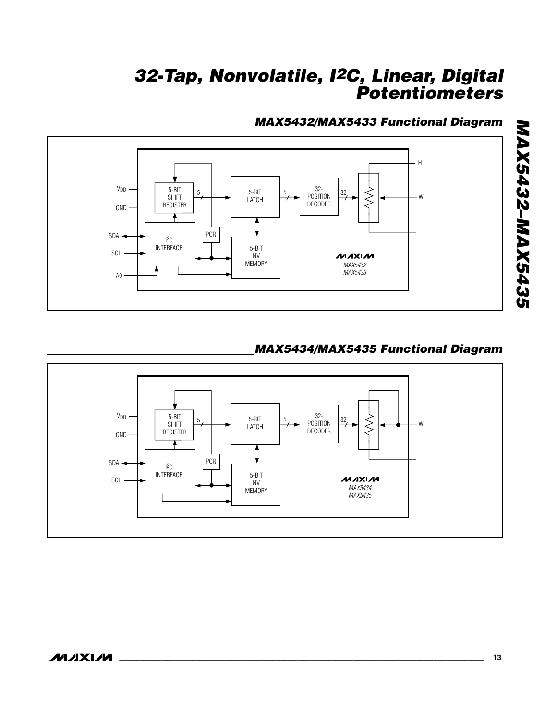# *MAX5432/MAX5433 Functional Diagram*



# *MAX5434/MAX5435 Functional Diagram*



*MAX5432–MAX5435*

**MAX5432-MAX5435**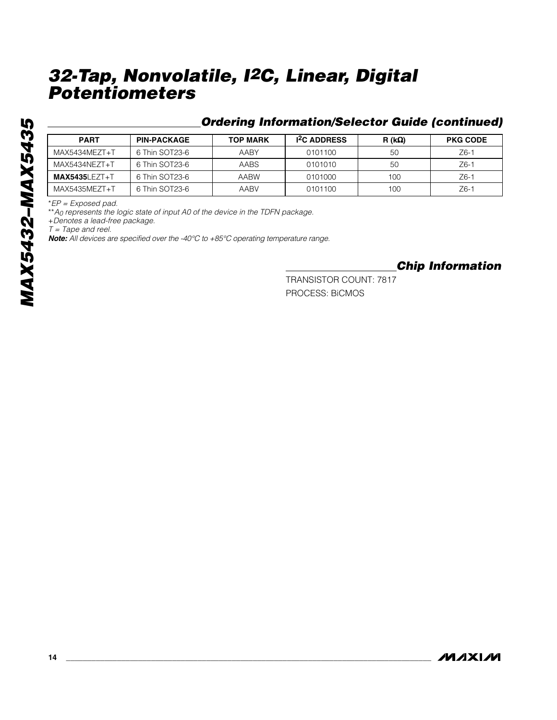## *Ordering Information/Selector Guide (continued)*

| <b>PART</b>       | <b>PIN-PACKAGE</b> | <b>TOP MARK</b> | <b>I<sup>2</sup>C ADDRESS</b> | $R(k\Omega)$ | <b>PKG CODE</b> |
|-------------------|--------------------|-----------------|-------------------------------|--------------|-----------------|
| MAX5434MEZT+T     | 6 Thin SOT23-6     | AABY            | 0101100                       | 50           | $Z6-1$          |
| MAX5434NEZT+T     | 6 Thin SOT23-6     | <b>AABS</b>     | 0101010                       | <b>50</b>    | $Z6-1$          |
| $MAX5435LEZT + T$ | 6 Thin SOT23-6     | AABW            | 0101000                       | 100          | $Z6-7$          |
| MAX5435MEZT+T     | 6 Thin SOT23-6     | AABV            | 0101100                       | 100          | $Z6-7$          |

\**EP = Exposed pad.*

\*\**A0 represents the logic state of input A0 of the device in the TDFN package.*

+*Denotes a lead-free package.*

*T = Tape and reel.*

*Note: All devices are specified over the -40°C to +85°C operating temperature range.*

*Chip Information*

TRANSISTOR COUNT: 7817 PROCESS: BiCMOS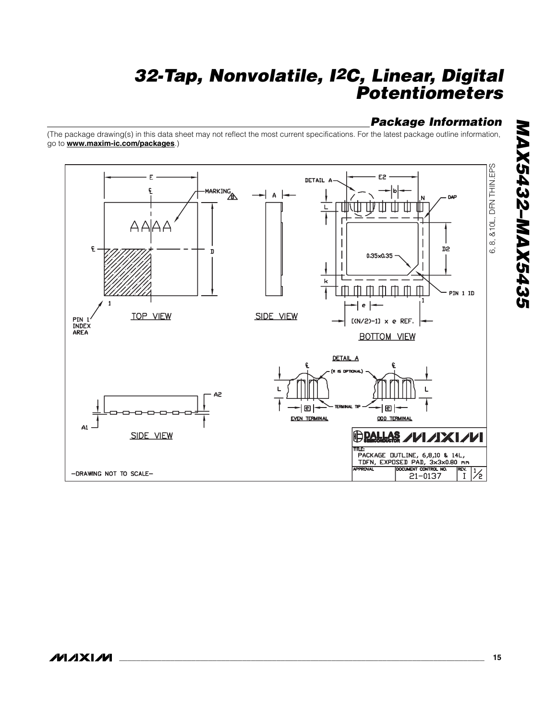# *Package Information*

(The package drawing(s) in this data sheet may not reflect the most current specifications. For the latest package outline information, go to **www.maxim-ic.com/packages**.)

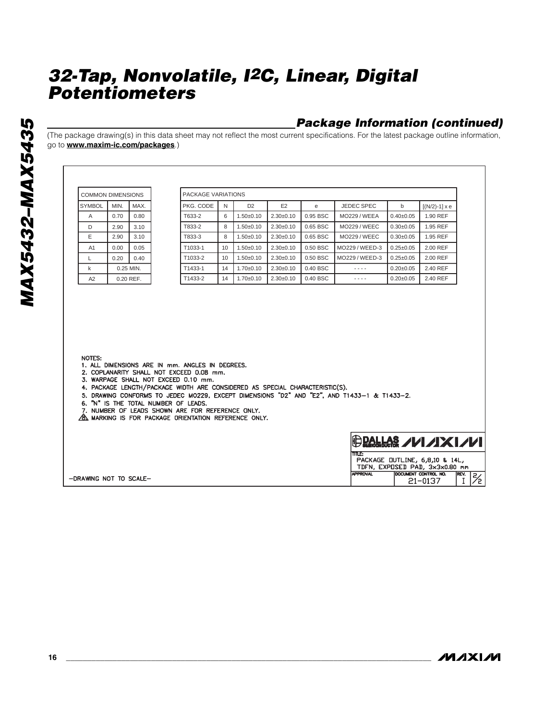## *Package Information (continued)*

(The package drawing(s) in this data sheet may not reflect the most current specifications. For the latest package outline information, go to **www.maxim-ic.com/packages**.)

| <b>COMMON DIMENSIONS</b> |      |           | PACKAGE VARIATIONS                                                                          |    |                 |                 |              |                     |                 |                      |
|--------------------------|------|-----------|---------------------------------------------------------------------------------------------|----|-----------------|-----------------|--------------|---------------------|-----------------|----------------------|
| <b>SYMBOL</b>            | MIN. | MAX.      | PKG. CODE                                                                                   | N  | D <sub>2</sub>  | E <sub>2</sub>  | $\mathbf{e}$ | <b>JEDEC SPEC</b>   | b               | $[(N/2)-1] \times e$ |
| $\overline{A}$           | 0.70 | 0.80      | T633-2                                                                                      | 6  | $1.50 \pm 0.10$ | $2.30 \pm 0.10$ | 0.95 BSC     | <b>MO229 / WEEA</b> | $0.40 + 0.05$   | 1.90 REF             |
| D                        | 2.90 | 3.10      | T833-2                                                                                      | 8  | $1.50 \pm 0.10$ | $2.30 \pm 0.10$ | 0.65 BSC     | <b>MO229 / WEEC</b> | $0.30 + 0.05$   | 1.95 REF             |
| E                        | 2.90 | 3.10      | T833-3                                                                                      | 8  | $1.50+0.10$     | $2.30+0.10$     | 0.65 BSC     | <b>MO229 / WEEC</b> | $0.30 + 0.05$   | 1.95 REF             |
| A1                       | 0.00 | 0.05      | T1033-1                                                                                     | 10 | $1.50 \pm 0.10$ | $2.30\pm0.10$   | 0.50 BSC     | MO229 / WEED-3      | $0.25 \pm 0.05$ | 2.00 REF             |
| $\mathsf{L}$             | 0.20 | 0.40      | T1033-2                                                                                     | 10 | $1.50 \pm 0.10$ | $2.30\pm0.10$   | 0.50 BSC     | MO229 / WEED-3      | $0.25 \pm 0.05$ | 2.00 REF             |
| $\mathsf{k}$             |      | 0.25 MIN. | T1433-1                                                                                     | 14 | $1.70 \pm 0.10$ | $2.30\pm0.10$   | 0.40 BSC     | $- - - -$           | $0.20 + 0.05$   | 2.40 REF             |
| A2                       |      | 0.20 REF. | T1433-2                                                                                     | 14 | $1.70 \pm 0.10$ | $2.30+0.10$     | 0.40 BSC     | ----                | $0.20 + 0.05$   | 2.40 REF             |
|                          |      |           |                                                                                             |    |                 |                 |              |                     |                 |                      |
| NOTES:                   |      |           | 1. ALL DIMENSIONS ARE IN mm. ANGLES IN DEGREES.<br>2. COPLANARITY SHALL NOT EXCEED 0.08 mm. |    |                 |                 |              |                     |                 |                      |

|                       | <b>TITLE:</b>   |                                |             |
|-----------------------|-----------------|--------------------------------|-------------|
|                       |                 | PACKAGE OUTLINE, 6,8,10 & 14L, |             |
|                       |                 | TDFN, EXPOSED PAD, 3x3x0.80 mm |             |
|                       | <b>APPROVAL</b> | IDOCUMENT CONTROL NO.          | <b>REV.</b> |
| DRAWING NOT TO SCALE- |                 | $21 - 0137$                    |             |
|                       |                 |                                |             |

**MAXIM** 

 $\sqrt{\frac{REV}{I}}$  $\overline{\mathbb{Z}}$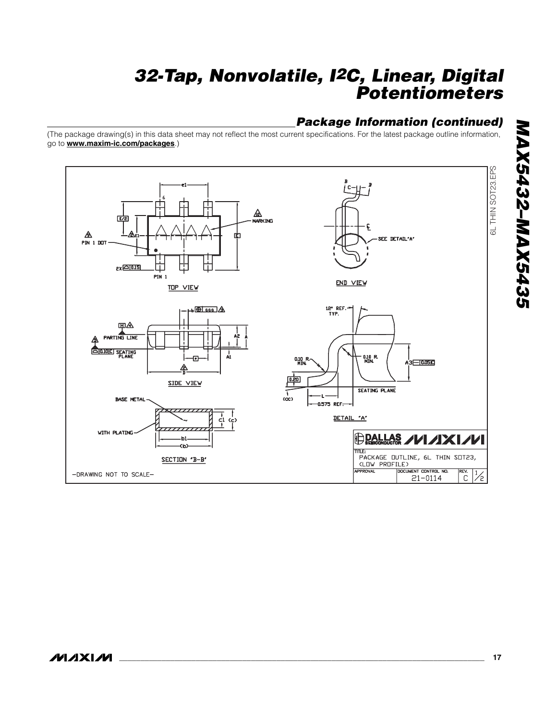## *Package Information (continued)*

(The package drawing(s) in this data sheet may not reflect the most current specifications. For the latest package outline information, go to **www.maxim-ic.com/packages**.)

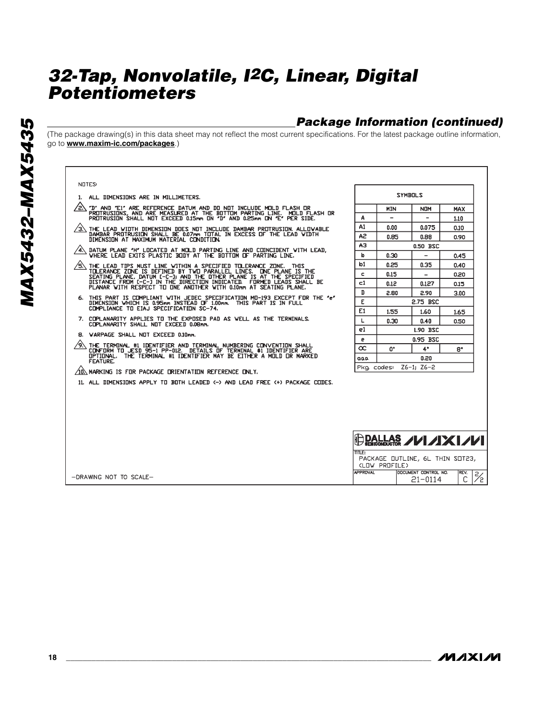# *Package Information (continued)*

(The package drawing(s) in this data sheet may not reflect the most current specifications. For the latest package outline information, go to **www.maxim-ic.com/packages**.)

|           | <b>NOTES</b>      |
|-----------|-------------------|
| 1.        | ALI               |
| <u>57</u> | "D"<br>PRI<br>PRI |
| <u>э7</u> | TH<br>DAI<br>DLÄ  |
| 4.\       | <b>DA</b>         |
| i\        | 껆<br>ς٣.          |

*MAX5432–MAX5435*

**MAX5432-MAX5435** 

|  |  | 1. ALL DIMENSIONS ARE IN MILLIMETERS. |
|--|--|---------------------------------------|
|  |  |                                       |

- "D" AND "E1" ARE REFERENCE DATUM AND DO NOT INCLUDE MOLD FLASH OR<br>PROTRUSIONS, AND ARE MEASURED AT THE BOTTOM PARTING LINE. MOLD FLASH OR<br>PROTRUSION SHALL NOT EXCEED 0.15mm ON "D" AND 0.25mm ON "E" PER SIDE.
- THE LEAD WIDTH DIMENSION DOES NOT INCLUDE DAMBAR PROTRUSION, ALLOVABLE<br>DAMBAR PROTRUSION SHALL BE 0.07mm TOTAL IN EXCESS OF THE LEAD VIDTH<br>DIMENSION AT MAXIMUM MATERIAL CONDITION.
- DATUM PLANE 'H' LOCATED AT MOLD PARTING LINE AND COINCIDENT WITH LEAD,<br>VHERE LEAD EXITS PLASTIC BODY AT THE BOTTOM OF PARTING LINE.
- THE LEAD TIPS MUST LINE WITHIN A SPECIFIED TOLERANCE ZONE. THIS<br>TOLERANCE ZONE IS DEFINED BY TWO PARALLEL LINES. ONE PLANE IS THE<br>SEATING PLANE, DATUM C-C-J) AND THE OTHER PLANE IS AT THE SPECIFIED<br>DISTANCE FROM C-C-J IN T
- THIS PART IS COMPLIANT WITH JEDEC SPECIFICATION MO-193 EXCEPT FOR THE "e"<br>DIMENSION WHICH IS 0.95mm INSTEAD OF 1.00mm. THIS PART IS IN FULL<br>COMPLIANCE TO EIAJ SPECIFICATION SC-74. 6.
- 7. COPLANARITY APPLIES TO THE EXPOSED PAD AS WELL AS THE TERMINALS.<br>COPLANARITY SHALL NOT EXCEED 0.08mm.
- 8. VARPAGE SHALL NOT EXCEED 0.10mm.

-DRAWING NOT TO SCALE-

- A) THE TERMINAL #1 IDENTIFIER AND TERMINAL NUMBERING CONVENTION SHALL<br>CONFORM TO JESD 95-1 PP-012. DETAILS OF TERMINAL #1 IDENTIFIER ARE<br>OPTIONAL. THE TERMINAL #1 IDENTIFIER MAY BE EITHER A MOLD OR NARKED<br>FEATURE.
- $\sqrt{10}$  marking is for package orientation reference only.
- 11. ALL DIMENSIONS APPLY TO BOTH LEADED <- > AND LEAD FREE <+ > PACKAGE CODES.

| <b>SYMBOLS</b>         |                      |                   |      |  |  |  |  |
|------------------------|----------------------|-------------------|------|--|--|--|--|
|                        | <b>MIN</b>           | <b>NOM</b><br>MAX |      |  |  |  |  |
| Α                      |                      |                   | 1.10 |  |  |  |  |
| A1                     | 0.00                 | 0.075             | 0.10 |  |  |  |  |
| A2                     | 0.85                 | 0.88              | 0.90 |  |  |  |  |
| AЗ                     |                      | 0.50 BSC          |      |  |  |  |  |
| b                      | 0.30                 | 0,45              |      |  |  |  |  |
| b1                     | 0.25                 | 0.35              | 0.40 |  |  |  |  |
| c                      | 0.15                 |                   | 0.20 |  |  |  |  |
| $1$                    | 0.12                 | 0.127             | 0.15 |  |  |  |  |
| D                      | 2.80                 | 2.90              | 3.00 |  |  |  |  |
| E                      | 2.75 BSC             |                   |      |  |  |  |  |
| E1                     | 1.55                 | 1.60<br>1.65      |      |  |  |  |  |
| L                      | 0.30<br>0.40<br>0.50 |                   |      |  |  |  |  |
| e1                     | 1.90 BSC             |                   |      |  |  |  |  |
| e                      | <b>0.95 BSC</b>      |                   |      |  |  |  |  |
| $\infty$               | 0.                   | $4^*$             | 8.   |  |  |  |  |
| aaa                    | 0.20                 |                   |      |  |  |  |  |
| Pkg. codes: Z6-1; Z6-2 |                      |                   |      |  |  |  |  |

|  | <b>DALLAS /VI/IXI/VI</b> |
|--|--------------------------|
|--|--------------------------|

| 11 II F 3       |                                 |  |                               |  |
|-----------------|---------------------------------|--|-------------------------------|--|
|                 | PACKAGE OUTLINE, 6L THIN SOT23, |  |                               |  |
| (LOW PROFILE)   |                                 |  |                               |  |
| <b>IPPROVAL</b> | DOCUMENT CONTROL NO.            |  |                               |  |
|                 | $21 - 0114$                     |  | $\frac{REN}{C}$ $\frac{2}{2}$ |  |